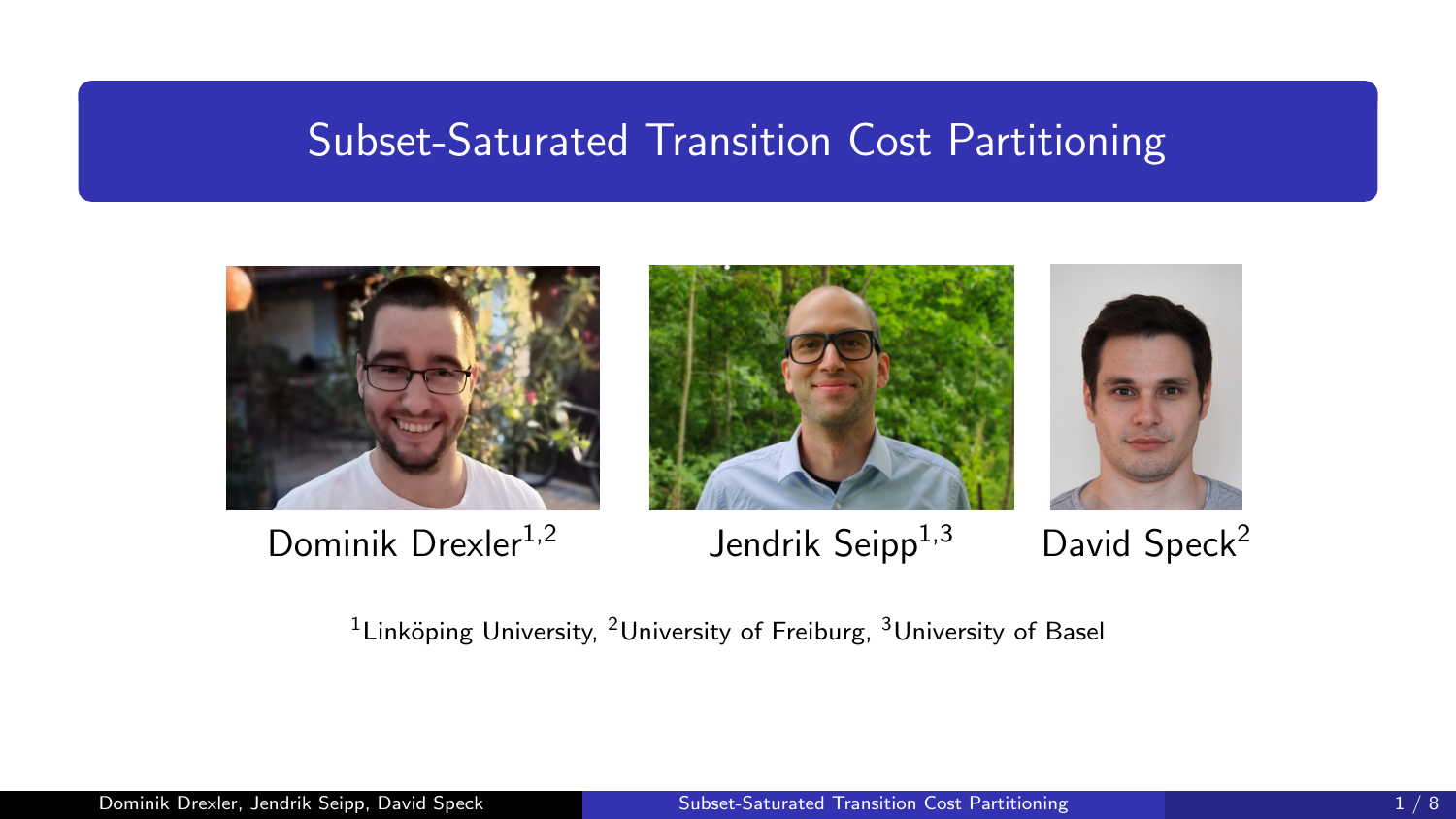#### <span id="page-0-0"></span>Subset-Saturated Transition Cost Partitioning











<sup>1</sup> Linköping University, <sup>2</sup> University of Freiburg, <sup>3</sup> University of Basel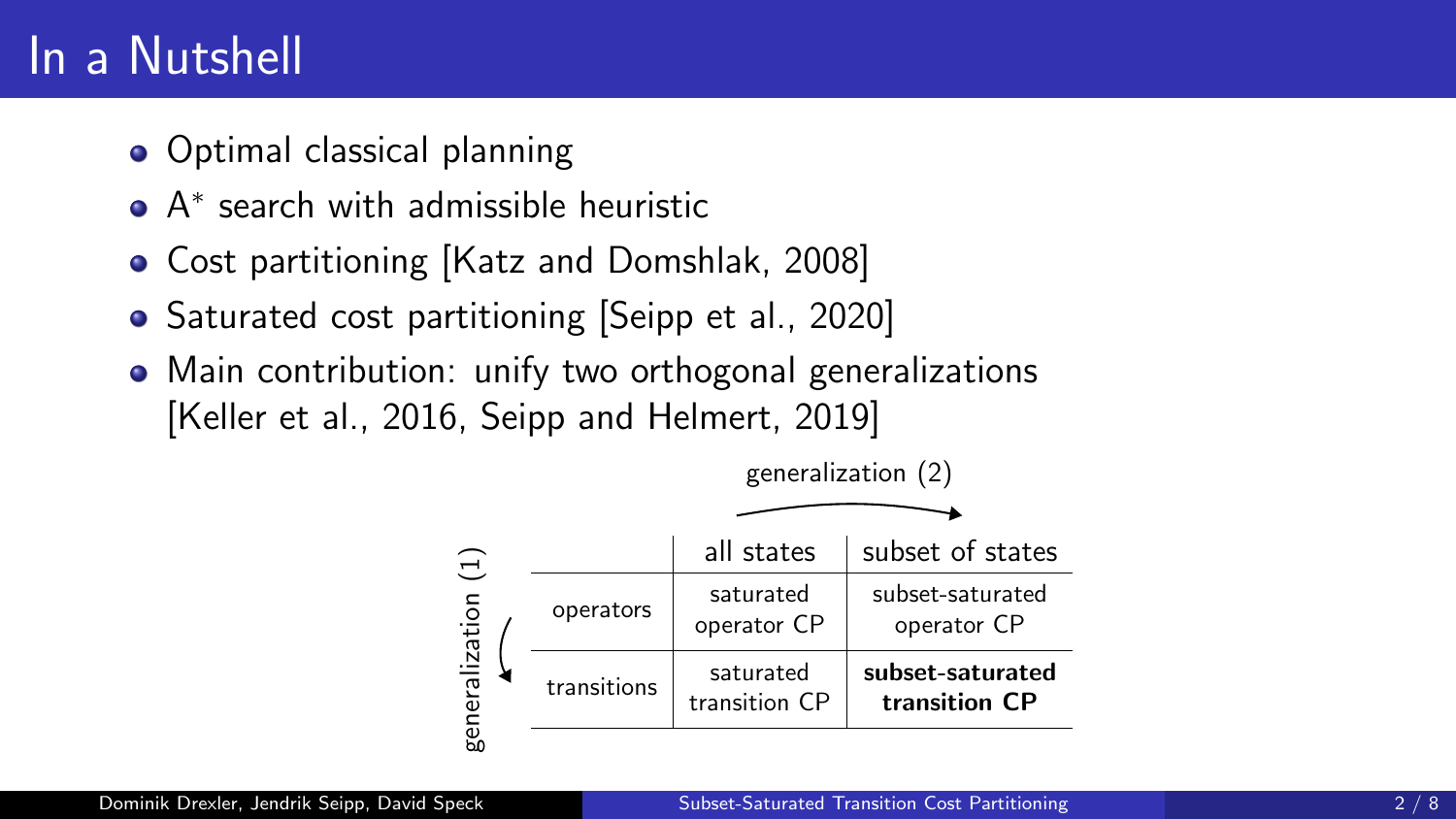### In a Nutshell

- Optimal classical planning
- A ∗ search with admissible heuristic
- Cost partitioning [\[Katz and Domshlak, 2008\]](#page-8-1)
- Saturated cost partitioning [\[Seipp et al., 2020\]](#page-8-2)
- Main contribution: unify two orthogonal generalizations [\[Keller et al., 2016,](#page-8-3) [Seipp and Helmert, 2019\]](#page-8-4)

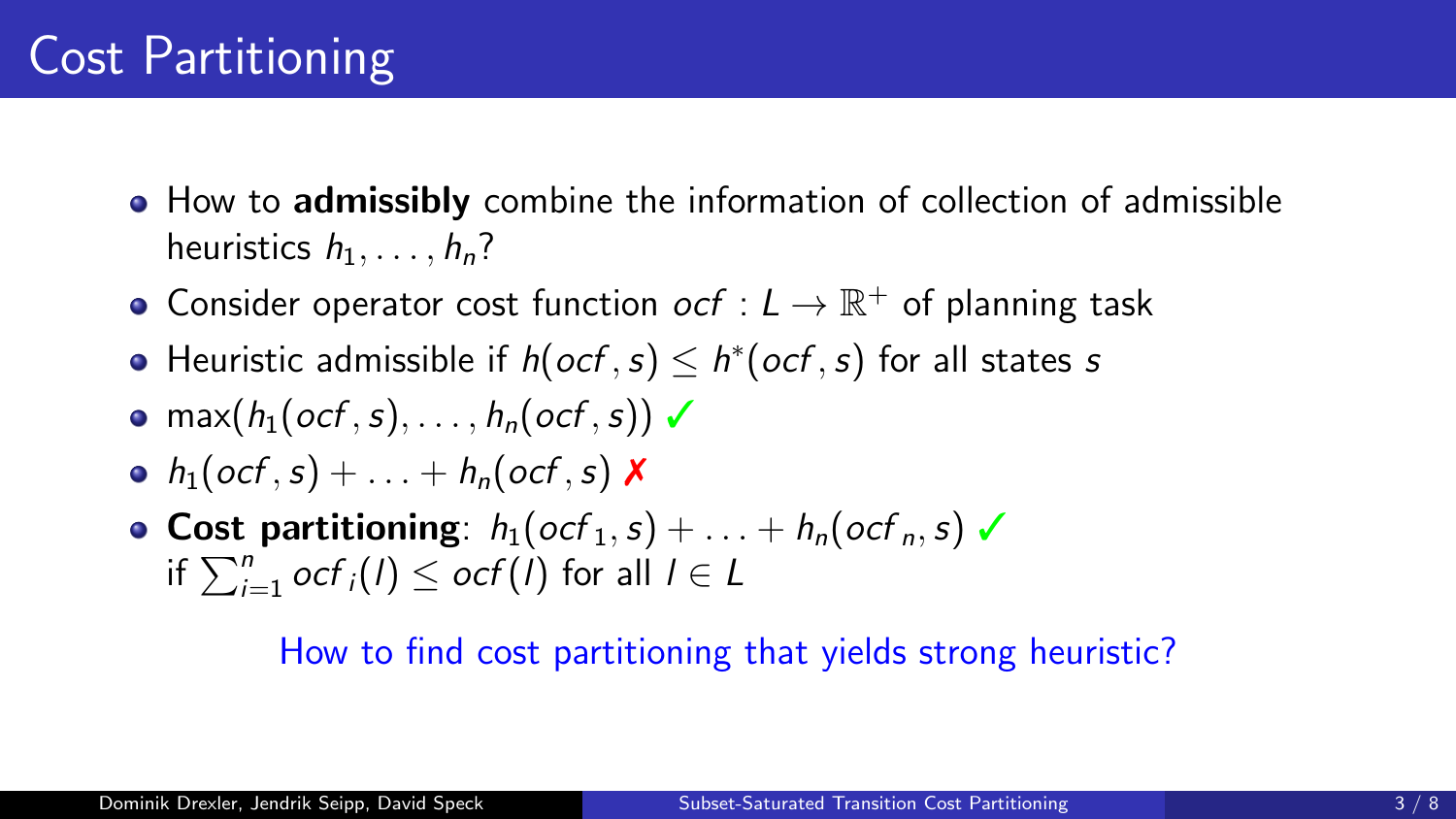- How to **admissibly** combine the information of collection of admissible heuristics  $h_1, \ldots, h_n$ ?
- Consider operator cost function  $ocf: L \to \mathbb{R}^+$  of planning task
- Heuristic admissible if  $h(ocf, s) \leq h^*(ocf, s)$  for all states s
- $\bullet$  max(h<sub>1</sub>(ocf, s), ..., h<sub>n</sub>(ocf, s))  $\checkmark$
- $h_1(\text{ocf}, s) + \ldots + h_n(\text{ocf}, s)$  X
- Cost partitioning:  $h_1(\text{ocf}_1, s) + \ldots + h_n(\text{ocf}_n, s)$ if  $\sum_{i=1}^n \mathit{ocf}_i(l) \leq \mathit{ocf}(l)$  for all  $l \in L$

#### How to find cost partitioning that yields strong heuristic?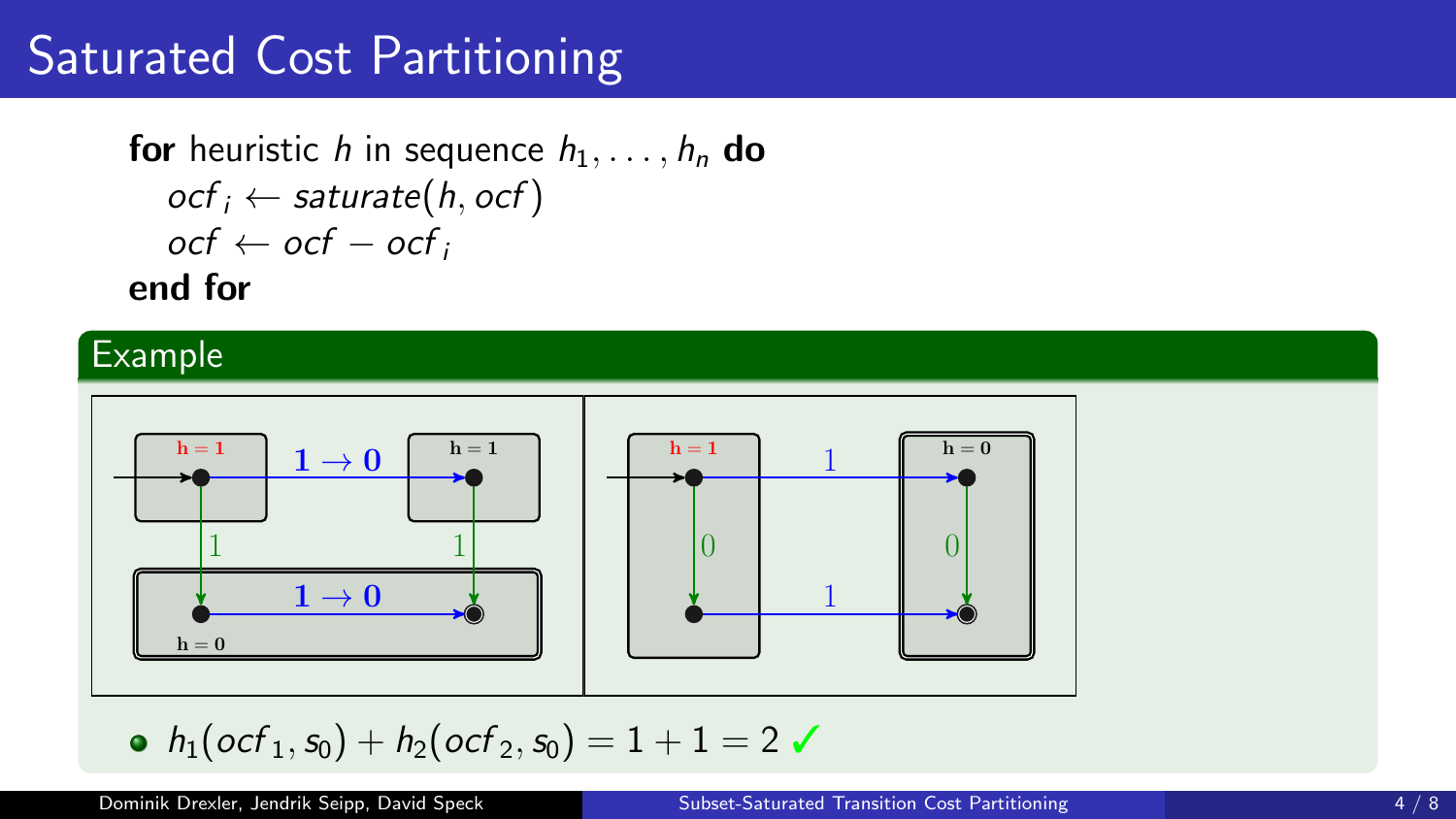## Saturated Cost Partitioning

for heuristic h in sequence  $h_1, \ldots, h_n$  do  $ocf_i \leftarrow$  saturate(h, ocf)  $ocf \leftarrow ocf - ocf_i$ end for

#### Example



• 
$$
h_1(ocf_1, s_0) + h_2(ocf_2, s_0) = 1 + 1 = 2
$$

Dominik Drexler, Jendrik Seipp, David Speck [Subset-Saturated Transition Cost Partitioning](#page-0-0) 4 / 8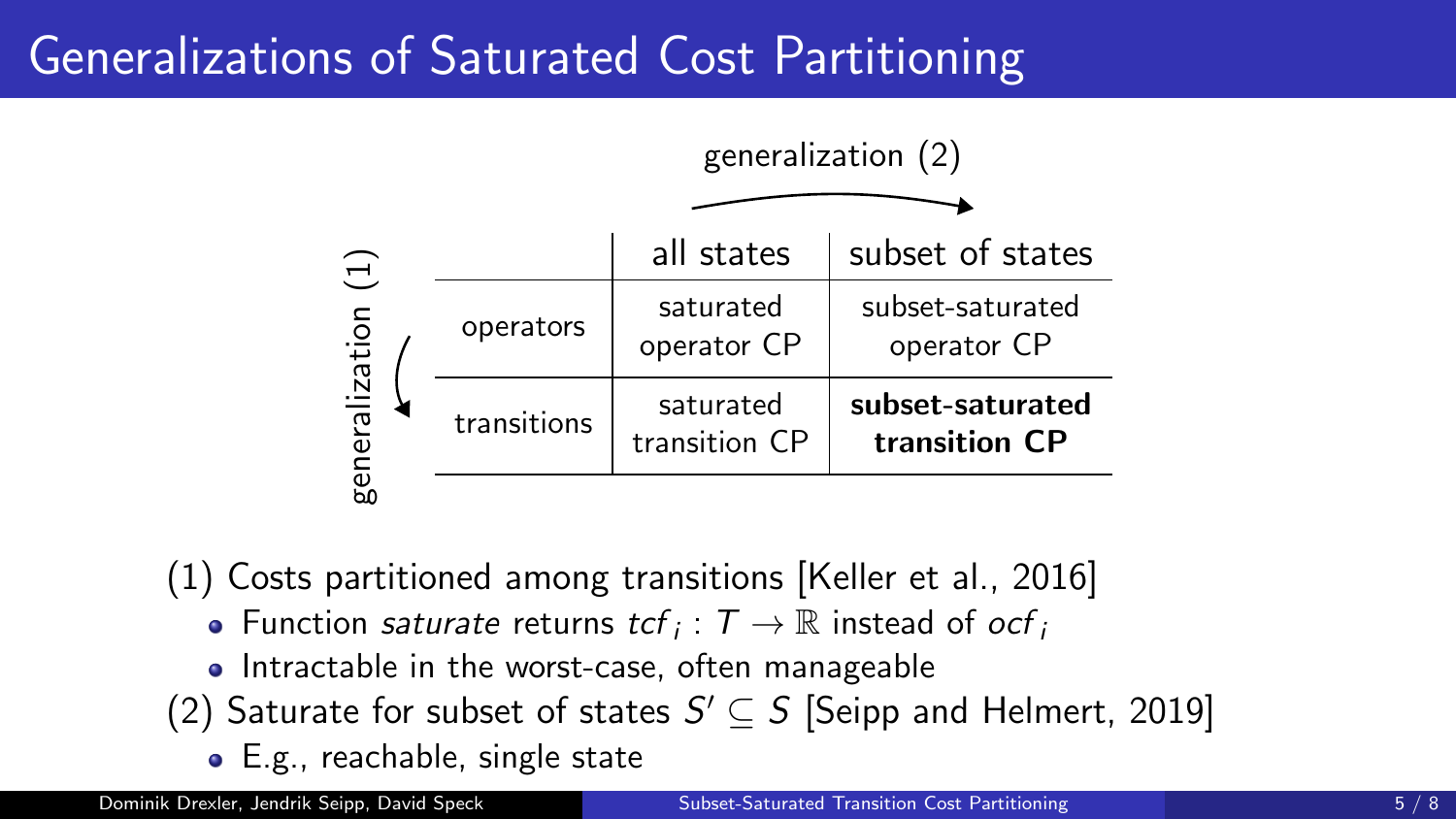# Generalizations of Saturated Cost Partitioning



(1) Costs partitioned among transitions [\[Keller et al., 2016\]](#page-8-3)

- Function saturate returns  $tcf_i: T \to \mathbb{R}$  instead of  $ocf_i$
- Intractable in the worst-case, often manageable
- (2) Saturate for subset of states  $S' \subseteq S$  [\[Seipp and Helmert, 2019\]](#page-8-4)
	- E.g., reachable, single state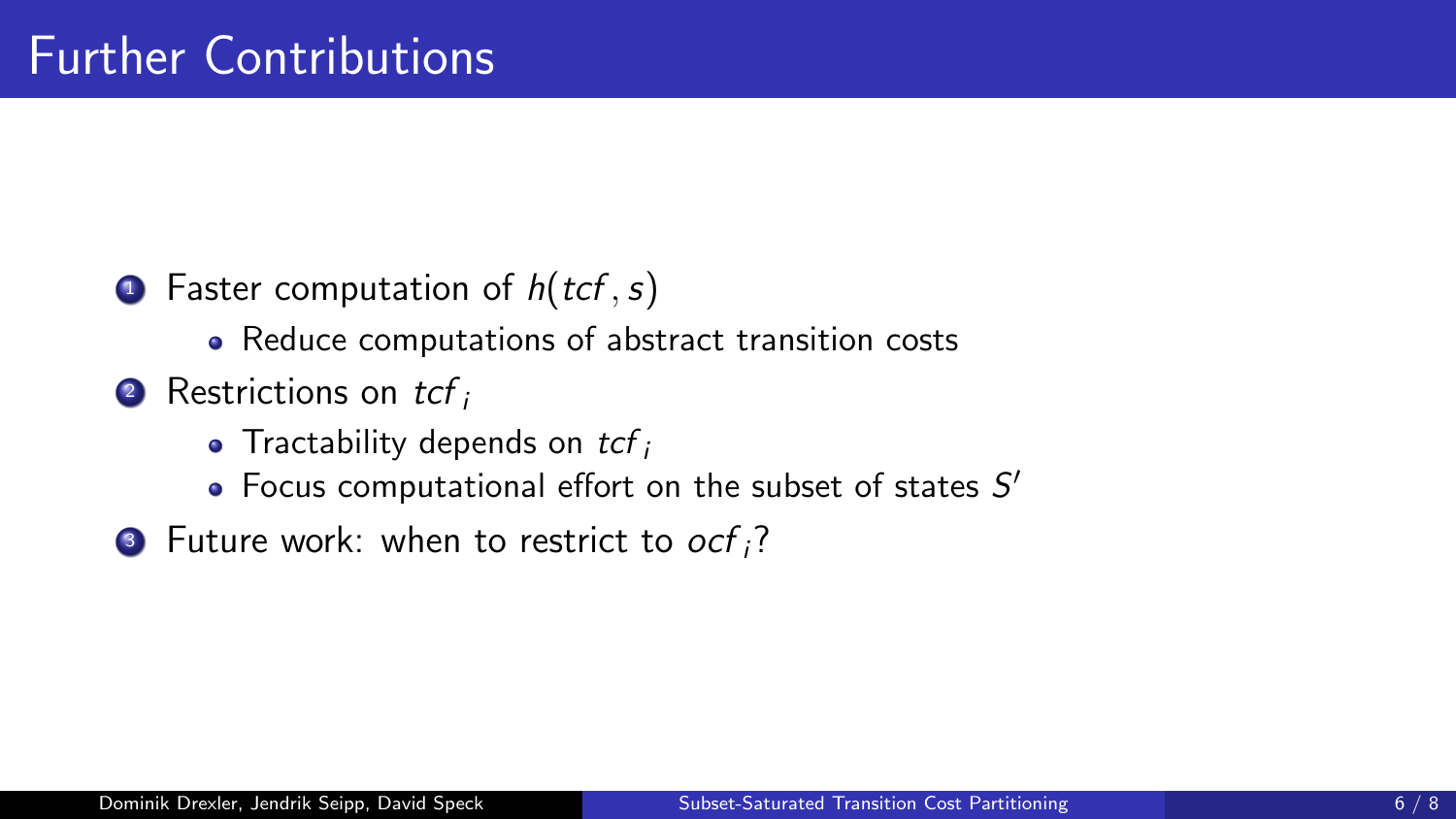- **•** Faster computation of  $h(tcf, s)$ 
	- Reduce computations of abstract transition costs
- $\bullet$  Restrictions on tcf is
	- Tractability depends on  $tcf_i$
	- Focus computational effort on the subset of states  $S'$
- **3** Future work: when to restrict to  $ocf_i$ ?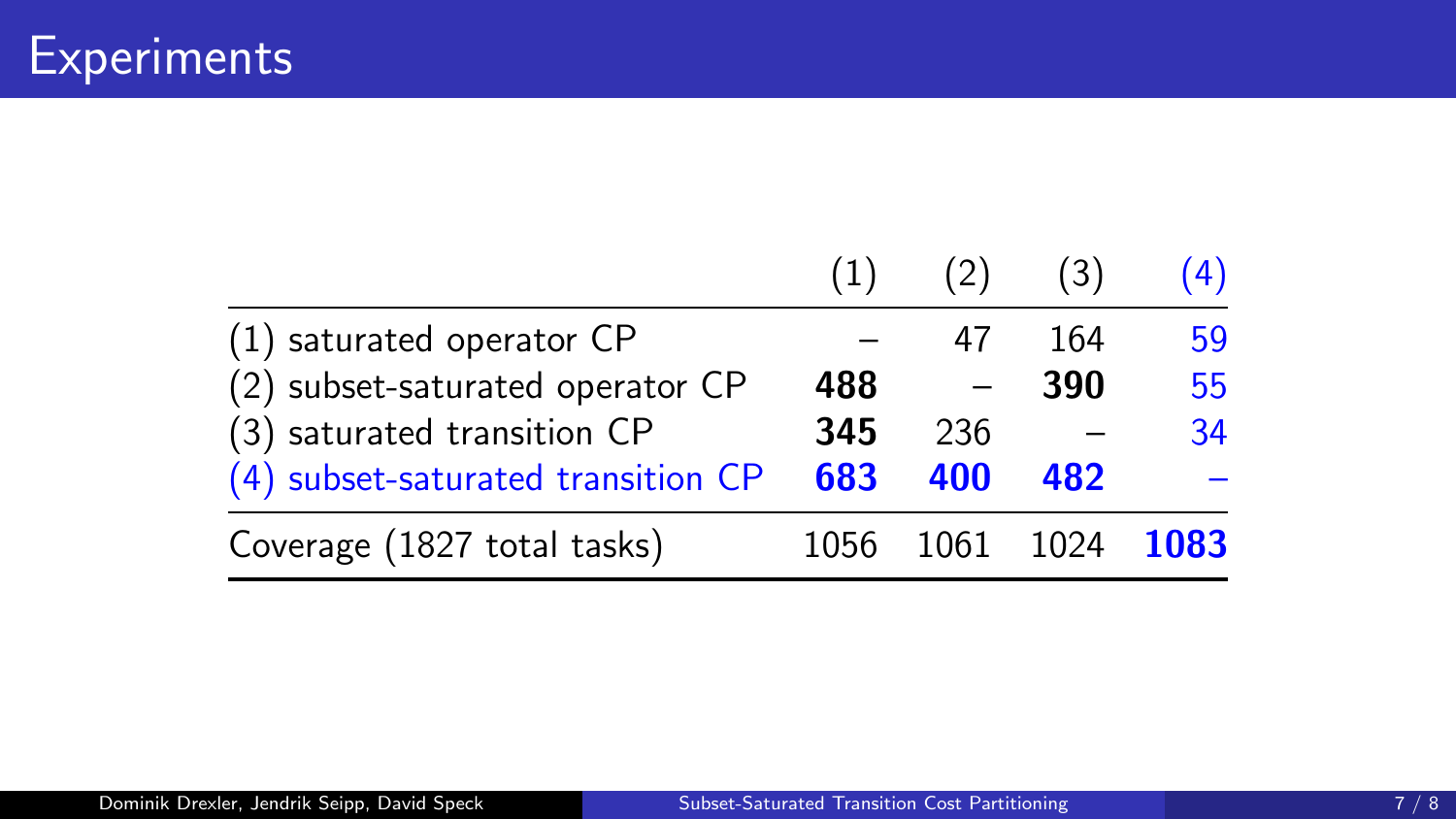|                                    | (1)  | (2) | (3)            | (4) |
|------------------------------------|------|-----|----------------|-----|
| (1) saturated operator CP          |      | 47  | 164            | 59  |
| (2) subset-saturated operator CP   | 488  |     | 390            | 55  |
| (3) saturated transition CP        | 345  | 236 |                | 34  |
| (4) subset-saturated transition CP | 683  | 400 | 482            |     |
| Coverage (1827 total tasks)        | 1056 |     | 1061 1024 1083 |     |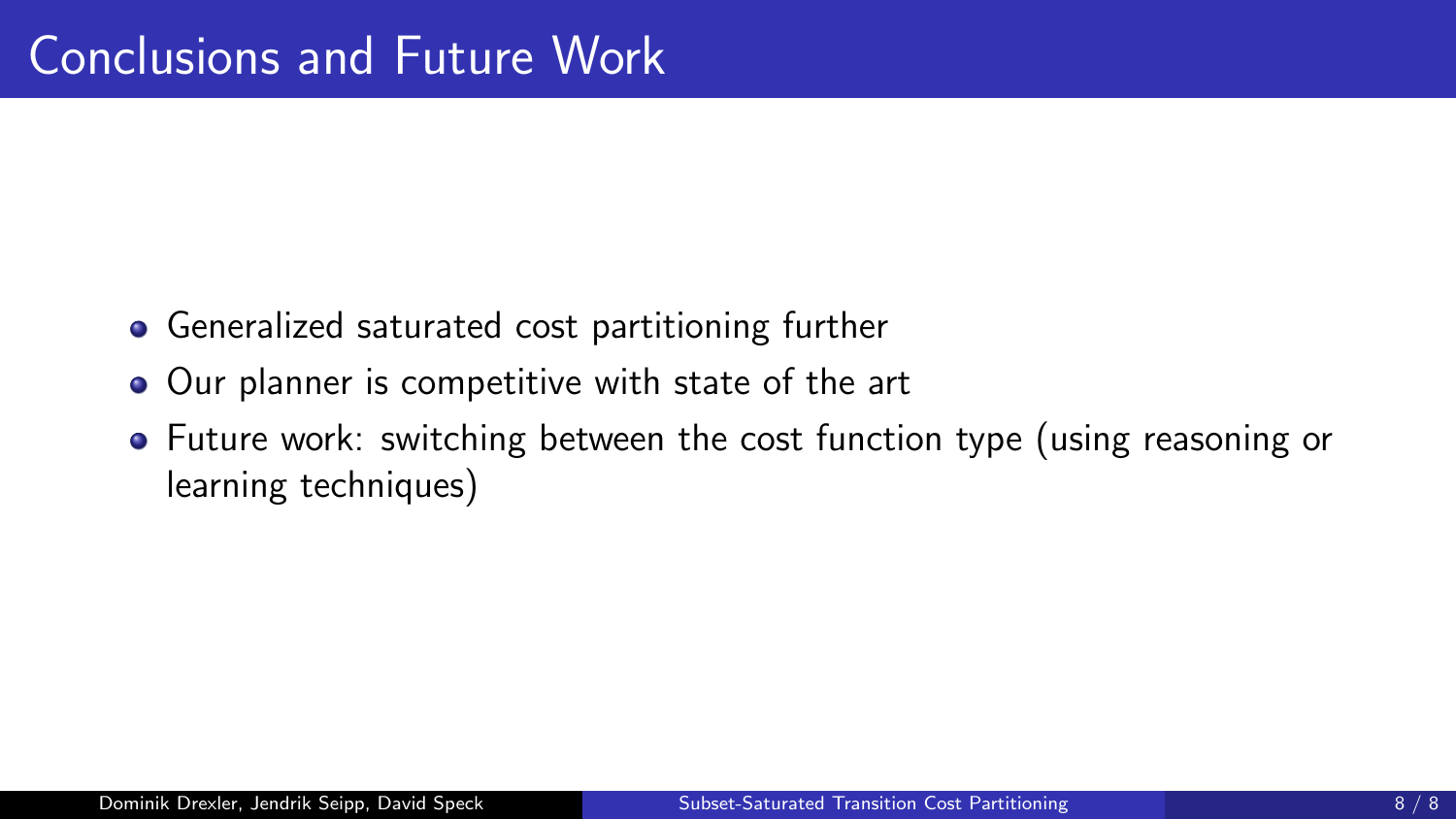- Generalized saturated cost partitioning further
- Our planner is competitive with state of the art
- Future work: switching between the cost function type (using reasoning or learning techniques)